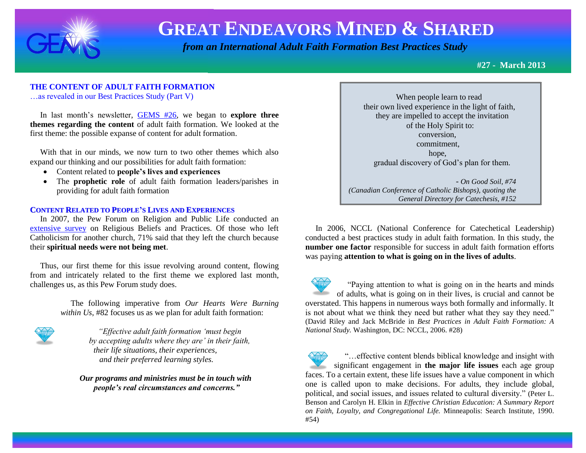

 *from an International Adult Faith Formation Best Practices Study*

**#27 - March 2013**

### **THE CONTENT OF ADULT FAITH FORMATION**

…as revealed in our Best Practices Study (Part V)

 In last month's newsletter, [GEMS #26,](http://www.janetschaeffler.com/GEMS__26.pdf) we began to **explore three themes regarding the content** of adult faith formation. We looked at the first theme: the possible expanse of content for adult formation.

 With that in our minds, we now turn to two other themes which also expand our thinking and our possibilities for adult faith formation:

- Content related to **people's lives and experiences**
- The **prophetic role** of adult faith formation leaders/parishes in providing for adult faith formation

#### **CONTENT RELATED TO PEOPLE'S LIVES AND EXPERIENCES**

 In 2007, the Pew Forum on Religion and Public Life conducted an [extensive survey](http://religions.pewforum.org/reports) on Religious Beliefs and Practices. Of those who left Catholicism for another church, 71% said that they left the church because their **spiritual needs were not being met**.

 Thus, our first theme for this issue revolving around content, flowing from and intricately related to the first theme we explored last month, challenges us, as this Pew Forum study does.

> The following imperative from *Our Hearts Were Burning within Us*, #82 focuses us as we plan for adult faith formation:



*"Effective adult faith formation 'must begin by accepting adults where they are' in their faith, their life situations, their experiences, and their preferred learning styles.*

 *Our programs and ministries must be in touch with people's real circumstances and concerns."*

 When people learn to read their own lived experience in the light of faith, they are impelled to accept the invitation of the Holy Spirit to: conversion, commitment, hope, gradual discovery of God's plan for them. - *On Good Soil, #74* 

*(Canadian Conference of Catholic Bishops), quoting the General Directory for Catechesis, #152*

 In 2006, NCCL (National Conference for Catechetical Leadership) conducted a best practices study in adult faith formation. In this study, the **number one factor** responsible for success in adult faith formation efforts was paying **attention to what is going on in the lives of adults**.

 "Paying attention to what is going on in the hearts and minds of adults, what is going on in their lives, is crucial and cannot be overstated. This happens in numerous ways both formally and informally. It is not about what we think they need but rather what they say they need." (David Riley and Jack McBride in *Best Practices in Adult Faith Formation: A National Study.* Washington, DC: NCCL, 2006. #28)

 "…effective content blends biblical knowledge and insight with significant engagement in **the major life issues** each age group faces. To a certain extent, these life issues have a value component in which one is called upon to make decisions. For adults, they include global, political, and social issues, and issues related to cultural diversity." (Peter L. Benson and Carolyn H. Elkin in *Effective Christian Education: A Summary Report on Faith, Loyalty, and Congregational Life.* Minneapolis: Search Institute, 1990. #54)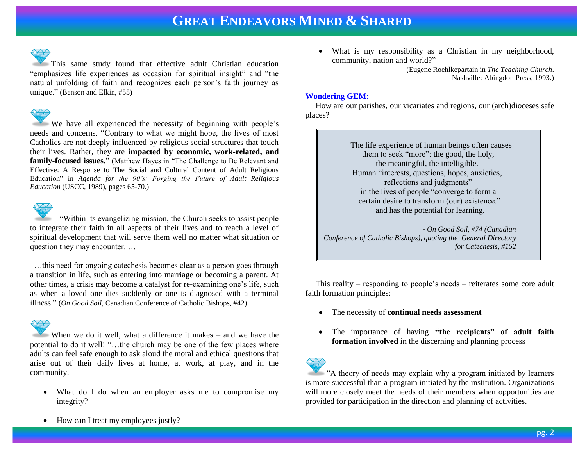

This same study found that effective adult Christian education "emphasizes life experiences as occasion for spiritual insight" and "the natural unfolding of faith and recognizes each person's faith journey as unique." (Benson and Elkin, #55)

We have all experienced the necessity of beginning with people's needs and concerns. "Contrary to what we might hope, the lives of most Catholics are not deeply influenced by religious social structures that touch their lives. Rather, they are **impacted by economic, work-related, and family-focused issues**." (Matthew Hayes in "The Challenge to Be Relevant and Effective: A Response to The Social and Cultural Content of Adult Religious Education" in *Agenda for the 90's: Forging the Future of Adult Religious Education* (USCC, 1989), pages 65-70.)



 "Within its evangelizing mission, the Church seeks to assist people to integrate their faith in all aspects of their lives and to reach a level of spiritual development that will serve them well no matter what situation or question they may encounter. …

 …this need for ongoing catechesis becomes clear as a person goes through a transition in life, such as entering into marriage or becoming a parent. At other times, a crisis may become a catalyst for re-examining one's life, such as when a loved one dies suddenly or one is diagnosed with a terminal illness." (*On Good Soil*, Canadian Conference of Catholic Bishops, #42)

When we do it well, what a difference it makes – and we have the potential to do it well! "…the church may be one of the few places where adults can feel safe enough to ask aloud the moral and ethical questions that arise out of their daily lives at home, at work, at play, and in the community.

 What do I do when an employer asks me to compromise my integrity?

 What is my responsibility as a Christian in my neighborhood, community, nation and world?"

> (Eugene Roehlkepartain in *The Teaching Church*. Nashville: Abingdon Press, 1993.)

#### **Wondering GEM:**

How are our parishes, our vicariates and regions, our (arch)dioceses safe places?

> The life experience of human beings often causes them to seek "more": the good, the holy, the meaningful, the intelligible. Human "interests, questions, hopes, anxieties, reflections and judgments" in the lives of people "converge to form a certain desire to transform (our) existence." and has the potential for learning.

 - *On Good Soil, #74 (Canadian Conference of Catholic Bishops), quoting the General Directory for Catechesis, #152*

 This reality – responding to people's needs – reiterates some core adult faith formation principles:

- The necessity of **continual needs assessment**
- The importance of having **"the recipients" of adult faith formation involved** in the discerning and planning process

"A theory of needs may explain why a program initiated by learners is more successful than a program initiated by the institution. Organizations will more closely meet the needs of their members when opportunities are provided for participation in the direction and planning of activities.

• How can I treat my employees justly?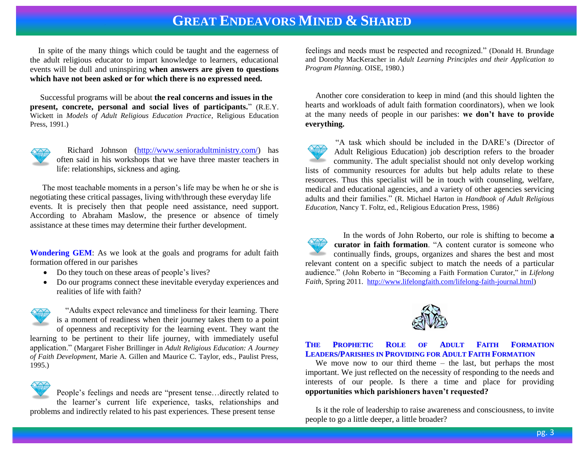In spite of the many things which could be taught and the eagerness of the adult religious educator to impart knowledge to learners, educational events will be dull and uninspiring **when answers are given to questions which have not been asked or for which there is no expressed need.** 

 Successful programs will be about **the real concerns and issues in the present, concrete, personal and social lives of participants.**" (R.E.Y. Wickett in *Models of Adult Religious Education Practice*, Religious Education Press, 1991.)



 Richard Johnson [\(http://www.senioradultministry.com/\)](http://www.senioradultministry.com/) has often said in his workshops that we have three master teachers in life: relationships, sickness and aging.

 The most teachable moments in a person's life may be when he or she is negotiating these critical passages, living with/through these everyday life events. It is precisely then that people need assistance, need support. According to Abraham Maslow, the presence or absence of timely assistance at these times may determine their further development.

**Wondering GEM**: As we look at the goals and programs for adult faith formation offered in our parishes

- Do they touch on these areas of people's lives?
- Do our programs connect these inevitable everyday experiences and realities of life with faith?



 "Adults expect relevance and timeliness for their learning. There is a moment of readiness when their journey takes them to a point of openness and receptivity for the learning event. They want the learning to be pertinent to their life journey, with immediately useful

application." (Margaret Fisher Brillinger in *Adult Religious Education: A Journey of Faith Development*, Marie A. Gillen and Maurice C. Taylor, eds., Paulist Press, 1995.)



People's feelings and needs are "present tense…directly related to the learner's current life experience, tasks, relationships and

problems and indirectly related to his past experiences. These present tense

feelings and needs must be respected and recognized." (Donald H. Brundage and Dorothy MacKeracher in *Adult Learning Principles and their Application to Program Planning.* OISE, 1980.)

 Another core consideration to keep in mind (and this should lighten the hearts and workloads of adult faith formation coordinators), when we look at the many needs of people in our parishes: **we don't have to provide everything.**

"A task which should be included in the DARE's (Director of Adult Religious Education) job description refers to the broader community. The adult specialist should not only develop working lists of community resources for adults but help adults relate to these resources. Thus this specialist will be in touch with counseling, welfare, medical and educational agencies, and a variety of other agencies servicing adults and their families." (R. Michael Harton in *Handbook of Adult Religious Education*, Nancy T. Foltz, ed., Religious Education Press, 1986)





#### **THE PROPHETIC ROLE OF ADULT FAITH FORMATION LEADERS/PARISHES IN PROVIDING FOR ADULT FAITH FORMATION**

We move now to our third theme – the last, but perhaps the most important. We just reflected on the necessity of responding to the needs and interests of our people. Is there a time and place for providing **opportunities which parishioners haven't requested?**

 Is it the role of leadership to raise awareness and consciousness, to invite people to go a little deeper, a little broader?